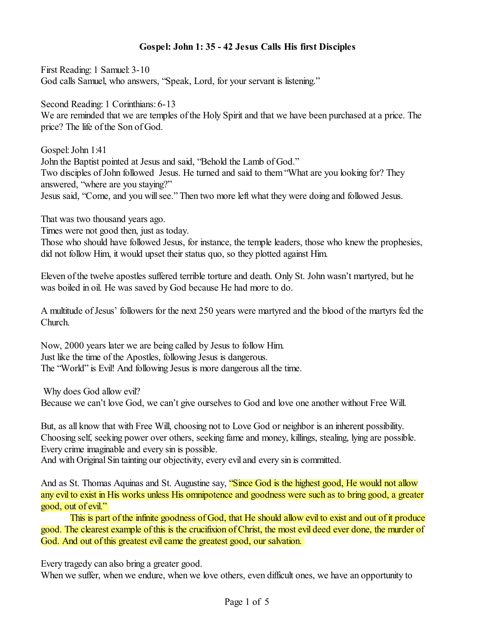## **Gospel: John 1: 35 - 42 Jesus Calls His first Disciples**

First Reading: 1 Samuel: 3-10 God calls Samuel, who answers, "Speak, Lord, for your servant is listening."

Second Reading: 1 Corinthians: 6-13 We are reminded that we are temples of the Holy Spirit and that we have been purchased at a price. The price? The life of the Son of God.

Gospel: John 1:41 John the Baptist pointed at Jesus and said, "Behold the Lamb of God." Two disciples of John followed Jesus. He turned and said to them "What are you looking for? They answered, "where are you staying?" Jesus said, "Come, and you willsee." Then two more left what they were doing and followed Jesus.

That was two thousand years ago.

Times were not good then, just as today.

Those who should have followed Jesus, for instance, the temple leaders, those who knew the prophesies, did not follow Him, it would upset their status quo, so they plotted against Him.

Eleven of the twelve apostles suffered terrible torture and death. Only St. John wasn't martyred, but he was boiled in oil. He was saved by God because He had more to do.

A multitude of Jesus' followers for the next 250 years were martyred and the blood of the martyrs fed the Church.

Now, 2000 years later we are being called by Jesus to follow Him. Just like the time of the Apostles, following Jesus is dangerous. The "World" is Evil! And following Jesus is more dangerous all the time.

 Why does God allow evil? Because we can't love God, we can't give ourselves to God and love one another without Free Will.

But, as all know that with Free Will, choosing not to Love God or neighbor is an inherent possibility. Choosing self, seeking power over others, seeking fame and money, killings, stealing, lying are possible. Every crime imaginable and every sin is possible.

And with Original Sin tainting our objectivity, every evil and every sin is committed.

And as St. Thomas Aquinas and St. Augustine say, "Since God is the highest good, He would not allow any evil to exist in His works unless His omnipotence and goodness were such as to bring good, a greater good, out of evil."

This is part of the infinite goodness of God, that He should allow evil to exist and out of it produce good. The clearest example ofthis is the crucifixion of Christ, the most evil deed ever done, the murder of God. And out of this greatest evil came the greatest good, our salvation.

Every tragedy can also bring a greater good.

When we suffer, when we endure, when we love others, even difficult ones, we have an opportunity to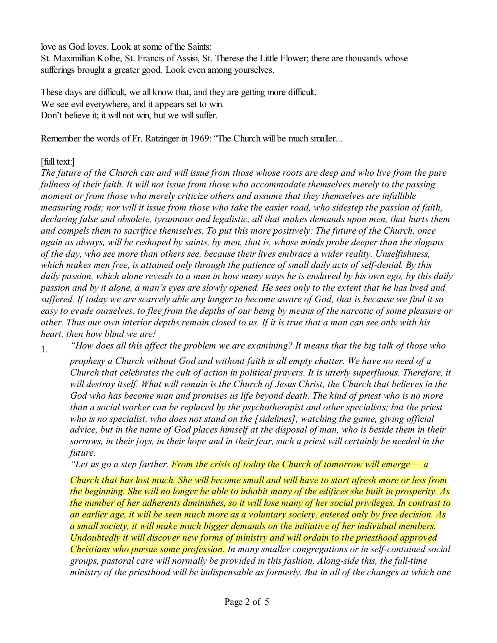love as God loves. Look at some of the Saints:

St. Maximillian Kolbe, St. Francis of Assisi, St. Therese the Little Flower; there are thousands whose sufferings brought a greater good. Look even among yourselves.

These days are difficult, we all know that, and they are getting more difficult. We see evil everywhere, and it appears set to win. Don't believe it; it will not win, but we will suffer.

Remember the words of Fr. Ratzinger in 1969: "The Church will be much smaller...

## [full text:]

*The future of the Church can and will issue from those whose roots are deep and who live from the pure fullness of their faith. It will not issue from those who accommodate themselves merely to the passing moment or from those who merely criticize others and assume that they themselves are infallible measuring rods; nor will it issue from those who take the easier road, who sidestep the passion of faith, declaring false and obsolete, tyrannous and legalistic, all that makes demands upon men, that hurts them and compels them to sacrifice themselves. To put this more positively: The future of the Church, once again as always, will be reshaped by saints, by men, that is, whose minds probe deeper than the slogans of the day, who see more than others see, because their lives embrace a wider reality. Unselfishness, which makes men free, is attained only through the patience of small daily acts of self-denial. By this daily passion, which alone reveals to a man in how many ways he is enslaved by his own ego, by this daily passion and by it alone, a man's eyes are slowly opened. He sees only to the extent that he has lived and suffered. If today we are scarcely able any longer to become aware of God, that is because we find it so easy to evade ourselves, to flee from the depths of our being by means of the narcotic of some pleasure or other. Thus our own interior depths remain closed to us. If it is true that a man can see only with his heart, then how blind we are!*

1. *"How does all this affect the problem we are examining? It means that the big talk of those who*

*prophesy a Church without God and without faith is all empty chatter. We have no need of a Church that celebrates the cult of action in political prayers. It is utterly superfluous. Therefore, it will destroy itself. What will remain is the Church of Jesus Christ, the Church that believes in the God who has become man and promises us life beyond death. The kind of priest who is no more than a social worker can be replaced by the psychotherapist and other specialists; but the priest who is no specialist, who does not stand on the [sidelines], watching the game, giving official advice, but in the name of God places himself at the disposal of man, who is beside them in their sorrows, in their joys, in their hope and in their fear, such a priest will certainly be needed in the future.*

*"Let us go a step farther. From the crisis of today the Church of tomorrow will emerge — a*

*Church that has lost much. She will become small and will have to start afresh more or less from the beginning. She will no longer be able to inhabit many of the edifices she built in prosperity. As the number of her adherents diminishes, so it will lose many of her social privileges. In contrast to an earlier age, it will be seen much more as a voluntary society, entered only by free decision. As a small society, it will make much bigger demands on the initiative of her individual members. Undoubtedly it will discover new forms of ministry and will ordain to the priesthood approved Christians who pursue some profession. In many smaller congregations or in self-contained social groups, pastoral care will normally be provided in this fashion. Along-side this, the full-time ministry of the priesthood will be indispensable as formerly. But in all of the changes at which one*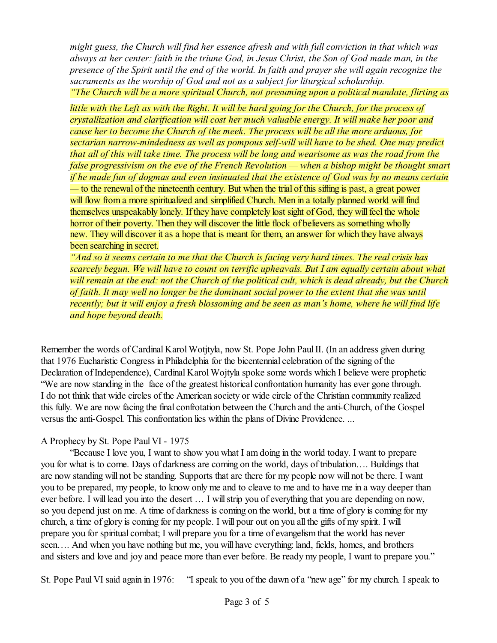*might guess, the Church will find her essence afresh and with full conviction in that which was always at her center: faith in the triune God, in Jesus Christ, the Son of God made man, in the presence of the Spirit until the end of the world. In faith and prayer she will again recognize the sacraments as the worship of God and not as a subject for liturgical scholarship. "The Church will be a more spiritual Church, not presuming upon a political mandate, flirting as*

*little with the Left as with the Right. It will be hard going for the Church, for the process of crystallization and clarification will cost her much valuable energy. It will make her poor and cause her to become the Church of the meek. The process will be all the more arduous, for sectarian narrow-mindedness as well as pompous self-will will have to be shed. One may predict that all of this will take time. The process will be long and wearisome as was the road from the false progressivism on the eve of the French Revolution — when a bishop might be thought smart if he made fun of dogmas and even insinuated that the existence of God was by no means certain —* to the renewal of the nineteenth century. But when the trial of this sifting is past, a great power will flow from a more spiritualized and simplified Church. Men in a totally planned world will find themselves unspeakably lonely. If they have completely lost sight of God, they will feel the whole horror of their poverty. Then they will discover the little flock of believers as something wholly new. They will discover it as a hope that is meant for them, an answer for which they have always been searching in secret.

*"And so it seems certain to me that the Church is facing very hard times. The real crisis has scarcely begun. We will have to count on terrific upheavals. But I am equally certain about what will remain at the end: not the Church of the political cult, which is dead already, but the Church of faith. It may well no longer be the dominant social power to the extent that she was until recently; but it will enjoy a fresh blossoming and be seen as man's home, where he will find life and hope beyond death.*

Remember the words of Cardinal Karol Wotjtyla, now St. Pope John Paul II. (In an address given during that 1976 Eucharistic Congress in Philadelphia for the bicentennial celebration of the signing of the Declaration of Independence), Cardinal Karol Wojtyla spoke some words which I believe were prophetic "We are now standing in the face of the greatest historical confrontation humanity has ever gone through. I do not think that wide circles of the American society or wide circle of the Christian community realized this fully. We are now facing the final confrotation between the Church and the anti-Church, ofthe Gospel versus the anti-Gospel. This confrontation lies within the plans of Divine Providence. ...

## A Prophecy by St. Pope Paul VI - 1975

"Because I love you, I want to show you what I am doing in the world today. I want to prepare you for what is to come. Days of darkness are coming on the world, days of tribulation…. Buildings that are now standing will not be standing. Supports that are there for my people now will not be there. I want you to be prepared, my people, to know only me and to cleave to me and to have me in a way deeper than ever before. I will lead you into the desert … I will strip you of everything that you are depending on now, so you depend just on me. A time of darkness is coming on the world, but a time of glory is coming for my church, a time of glory is coming for my people. I will pour out on you all the gifts of my spirit. I will prepare you for spiritual combat; I will prepare you for a time of evangelism that the world has never seen.... And when you have nothing but me, you will have everything: land, fields, homes, and brothers and sisters and love and joy and peace more than ever before. Be ready my people, I want to prepare you."

St. Pope Paul VI said again in 1976: "I speak to you of the dawn of a "new age" for my church. I speak to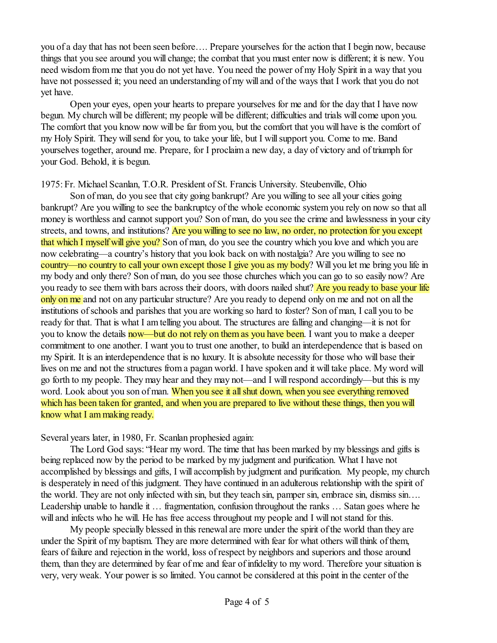you of a day that has not been seen before…. Prepare yourselves for the action that I begin now, because things that you see around you will change; the combat that you must enter now is different; it is new. You need wisdom from me that you do not yet have. You need the power of my Holy Spirit in a way that you have not possessed it; you need an understanding of my will and of the ways that I work that you do not yet have.

Open your eyes, open your hearts to prepare yourselves for me and for the day that I have now begun. My church will be different; my people will be different; difficulties and trials will come upon you. The comfort that you know now will be far from you, but the comfort that you will have is the comfort of my Holy Spirit. They will send for you, to take your life, but I will support you. Come to me. Band yourselves together, around me. Prepare, for I proclaim a new day, a day of victory and of triumph for your God. Behold, it is begun.

## 1975: Fr. Michael Scanlan, T.O.R. President of St. Francis University. Steubenville, Ohio

Son of man, do you see that city going bankrupt? Are you willing to see all your cities going bankrupt? Are you willing to see the bankruptcy of the whole economic system you rely on now so that all money is worthless and cannot support you? Son of man, do you see the crime and lawlessness in your city streets, and towns, and institutions? Are you willing to see no law, no order, no protection for you except that which I myself will give you? Son of man, do you see the country which you love and which you are now celebrating—a country's history that you look back on with nostalgia? Are you willing to see no country—no country to call your own except those I give you as my body? Will you let me bring you life in my body and only there? Son of man, do you see those churches which you can go to so easily now? Are you ready to see them with bars across their doors, with doors nailed shut? Are you ready to base your life only on me and not on any particular structure? Are you ready to depend only on me and not on all the institutions of schools and parishes that you are working so hard to foster? Son of man, I call you to be ready for that. That is what I amtelling you about. The structures are falling and changing—it is not for you to know the details now—but do not rely on them as you have been. I want you to make a deeper commitment to one another. I want you to trust one another, to build an interdependence that is based on my Spirit. It is an interdependence that is no luxury. It is absolute necessity for those who will base their lives on me and not the structures from a pagan world. I have spoken and it will take place. My word will go forth to my people. They may hear and they may not—and I willrespond accordingly—but this is my word. Look about you son of man. When you see it all shut down, when you see everything removed which has been taken for granted, and when you are prepared to live without these things, then you will know what I am making ready.

Several years later, in 1980, Fr. Scanlan prophesied again:

The Lord God says: "Hear my word. The time that has been marked by my blessings and gifts is being replaced now by the period to be marked by my judgment and purification. What I have not accomplished by blessings and gifts, I will accomplish by judgment and purification. My people, my church is desperately in need of this judgment. They have continued in an adulterous relationship with the spirit of the world. They are not only infected with sin, but they teach sin, pamper sin, embrace sin, dismiss sin…. Leadership unable to handle it … fragmentation, confusion throughout the ranks … Satan goes where he will and infects who he will. He has free access throughout my people and I will not stand for this.

My people specially blessed in this renewal are more under the spirit of the world than they are under the Spirit of my baptism. They are more determined with fear for what others will think ofthem, fears of failure and rejection in the world, loss of respect by neighbors and superiors and those around them, than they are determined by fear of me and fear of infidelity to my word. Therefore your situation is very, very weak. Your power is so limited. You cannot be considered at this point in the center of the